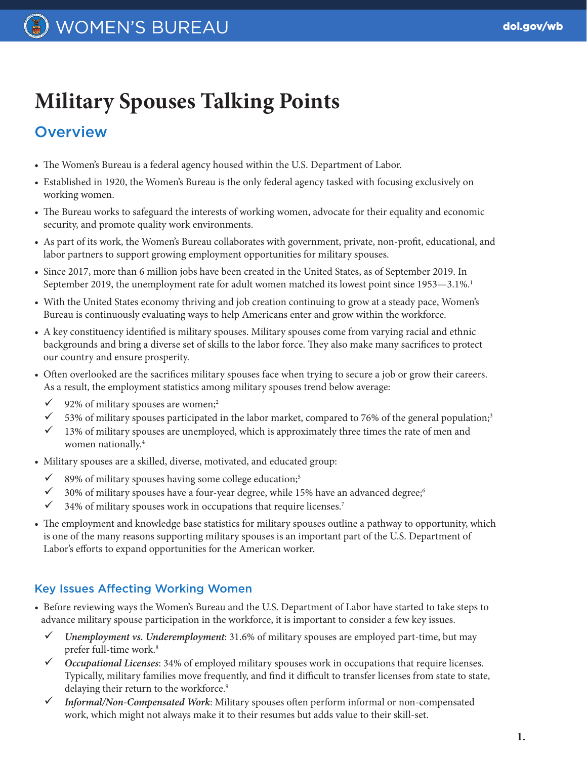# **Military Spouses Talking Points**

## **Overview**

- The Women's Bureau is a federal agency housed within the U.S. Department of Labor.
- Established in 1920, the Women's Bureau is the only federal agency tasked with focusing exclusively on working women.
- The Bureau works to safeguard the interests of working women, advocate for their equality and economic security, and promote quality work environments.
- As part of its work, the Women's Bureau collaborates with government, private, non-profit, educational, and labor partners to support growing employment opportunities for military spouses.
- Since 2017, more than 6 million jobs have been created in the United States, as of September 2019. In September 2019, the unemployment rate for adult women matched its lowest point since 1953—3.1%.<sup>1</sup>
- With the United States economy thriving and job creation continuing to grow at a steady pace, Women's Bureau is continuously evaluating ways to help Americans enter and grow within the workforce.
- A key constituency identified is military spouses. Military spouses come from varying racial and ethnic backgrounds and bring a diverse set of skills to the labor force. They also make many sacrifices to protect our country and ensure prosperity.
- Often overlooked are the sacrifices military spouses face when trying to secure a job or grow their careers. As a result, the employment statistics among military spouses trend below average:
	- $\checkmark$  92% of military spouses are women;<sup>2</sup>
	- $\checkmark$  53% of military spouses participated in the labor market, compared to 76% of the general population;<sup>3</sup>
	- $\checkmark$  13% of military spouses are unemployed, which is approximately three times the rate of men and women nationally.<sup>4</sup>
- Military spouses are a skilled, diverse, motivated, and educated group:
	- $\checkmark$  89% of military spouses having some college education;<sup>5</sup>
	- $\checkmark$  30% of military spouses have a four-year degree, while 15% have an advanced degree;<sup>6</sup>
	- $\checkmark$  34% of military spouses work in occupations that require licenses.<sup>7</sup>
- The employment and knowledge base statistics for military spouses outline a pathway to opportunity, which is one of the many reasons supporting military spouses is an important part of the U.S. Department of Labor's efforts to expand opportunities for the American worker.

### Key Issues Affecting Working Women

- Before reviewing ways the Women's Bureau and the U.S. Department of Labor have started to take steps to advance military spouse participation in the workforce, it is important to consider a few key issues.
	- ü *Unemployment vs. Underemployment*: 31.6% of military spouses are employed part-time, but may prefer full-time work.<sup>8</sup>
	- ü *Occupational Licenses*: 34% of employed military spouses work in occupations that require licenses. Typically, military families move frequently, and find it difficult to transfer licenses from state to state, delaying their return to the workforce.<sup>9</sup>
	- ü *Informal/Non-Compensated Work*: Military spouses often perform informal or non-compensated work, which might not always make it to their resumes but adds value to their skill-set.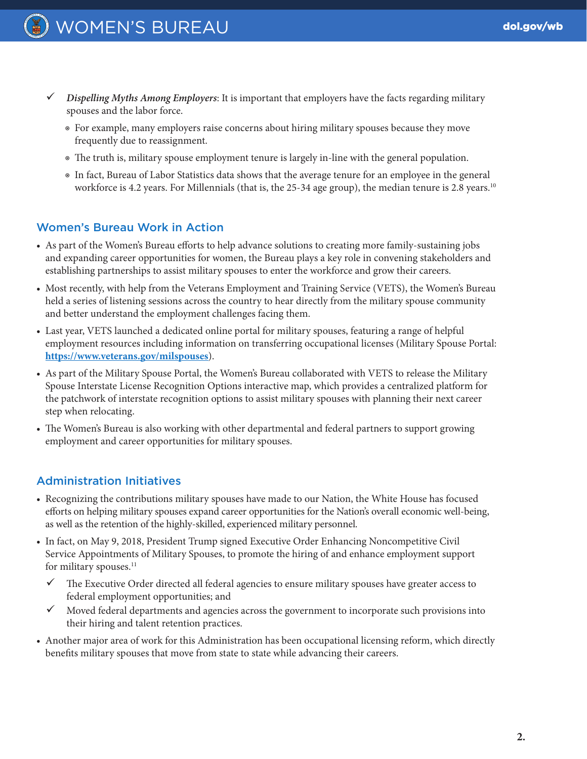- ü *Dispelling Myths Among Employers*: It is important that employers have the facts regarding military spouses and the labor force.
	- ◉ For example, many employers raise concerns about hiring military spouses because they move frequently due to reassignment.
	- ◉ The truth is, military spouse employment tenure is largely in-line with the general population.
	- ◉ In fact, Bureau of Labor Statistics data shows that the average tenure for an employee in the general workforce is 4.2 years. For Millennials (that is, the 25-34 age group), the median tenure is 2.8 years.<sup>10</sup>

#### Women's Bureau Work in Action

- As part of the Women's Bureau efforts to help advance solutions to creating more family-sustaining jobs and expanding career opportunities for women, the Bureau plays a key role in convening stakeholders and establishing partnerships to assist military spouses to enter the workforce and grow their careers.
- Most recently, with help from the Veterans Employment and Training Service (VETS), the Women's Bureau held a series of listening sessions across the country to hear directly from the military spouse community and better understand the employment challenges facing them.
- Last year, VETS launched a dedicated online portal for military spouses, featuring a range of helpful employment resources including information on transferring occupational licenses (Military Spouse Portal: **[https://www.veterans.gov/milspouses](https://www.veterans.gov/milspouses/)**).
- As part of the Military Spouse Portal, the Women's Bureau collaborated with VETS to release the Military Spouse Interstate License Recognition Options interactive map, which provides a centralized platform for the patchwork of interstate recognition options to assist military spouses with planning their next career step when relocating.
- The Women's Bureau is also working with other departmental and federal partners to support growing employment and career opportunities for military spouses.

#### Administration Initiatives

- Recognizing the contributions military spouses have made to our Nation, the White House has focused efforts on helping military spouses expand career opportunities for the Nation's overall economic well-being, as well as the retention of the highly-skilled, experienced military personnel.
- In fact, on May 9, 2018, President Trump signed Executive Order Enhancing Noncompetitive Civil Service Appointments of Military Spouses, to promote the hiring of and enhance employment support for military spouses.<sup>11</sup>
	- $\checkmark$  The Executive Order directed all federal agencies to ensure military spouses have greater access to federal employment opportunities; and
	- $\checkmark$  Moved federal departments and agencies across the government to incorporate such provisions into their hiring and talent retention practices.
- Another major area of work for this Administration has been occupational licensing reform, which directly benefits military spouses that move from state to state while advancing their careers.